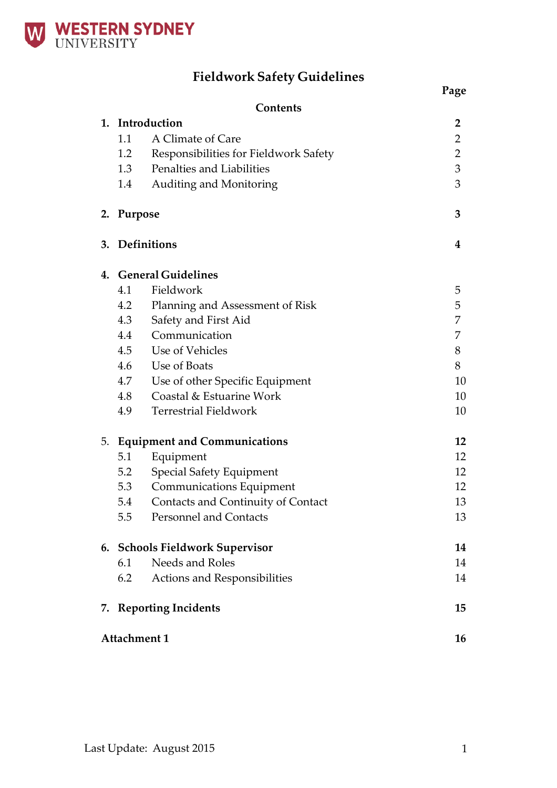

# **Fieldwork Safety Guidelines**

|    |                           | Contents                              |                |  |
|----|---------------------------|---------------------------------------|----------------|--|
|    |                           | 1. Introduction                       | $\overline{2}$ |  |
|    | 1.1                       | A Climate of Care                     | $\overline{2}$ |  |
|    | 1.2                       | Responsibilities for Fieldwork Safety | $\overline{2}$ |  |
|    | 1.3                       | Penalties and Liabilities             | 3              |  |
|    | 1.4                       | Auditing and Monitoring               | 3              |  |
| 2. | Purpose                   |                                       | 3              |  |
| 3. | <b>Definitions</b>        |                                       | 4              |  |
| 4. |                           | <b>General Guidelines</b>             |                |  |
|    | 4.1                       | Fieldwork                             | 5              |  |
|    | 4.2                       | Planning and Assessment of Risk       | 5              |  |
|    | 4.3                       | Safety and First Aid                  | 7              |  |
|    | 4.4                       | Communication                         | 7              |  |
|    | 4.5                       | Use of Vehicles                       | 8              |  |
|    | 4.6                       | Use of Boats                          | 8              |  |
|    | 4.7                       | Use of other Specific Equipment       | 10             |  |
|    | 4.8                       | Coastal & Estuarine Work              | 10             |  |
|    | 4.9                       | <b>Terrestrial Fieldwork</b>          | 10             |  |
| 5. |                           | <b>Equipment and Communications</b>   | 12             |  |
|    | 5.1                       | Equipment                             | 12             |  |
|    | 5.2                       | Special Safety Equipment              | 12             |  |
|    | 5.3                       | <b>Communications Equipment</b>       | 12             |  |
|    | 5.4                       | Contacts and Continuity of Contact    | 13             |  |
|    | 5.5                       | <b>Personnel and Contacts</b>         | 13             |  |
|    |                           | 6. Schools Fieldwork Supervisor       | 14             |  |
|    | 6.1                       | Needs and Roles                       | 14             |  |
|    | 6.2                       | Actions and Responsibilities          | 14             |  |
| 7. |                           | <b>Reporting Incidents</b>            | 15             |  |
|    | <b>Attachment 1</b><br>16 |                                       |                |  |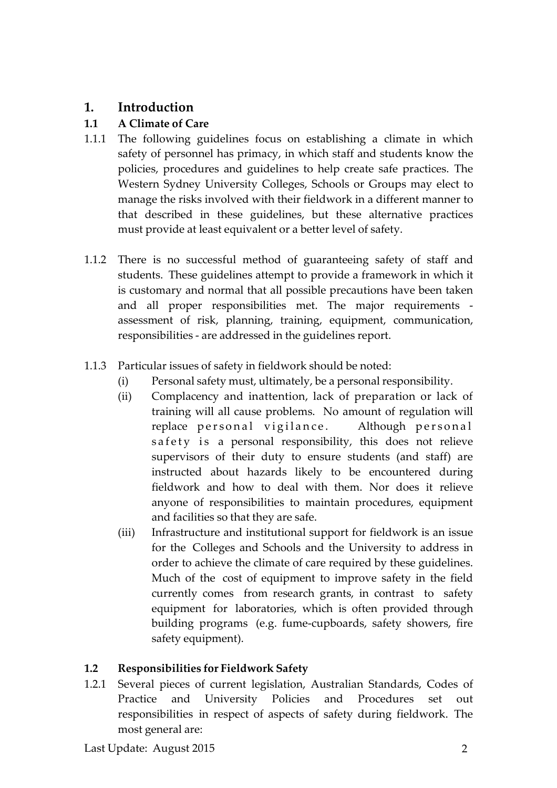# **1. Introduction**

## **1.1 A Climate of Care**

- 1.1.1 The following guidelines focus on establishing a climate in which safety of personnel has primacy, in which staff and students know the policies, procedures and guidelines to help create safe practices. The Western Sydney University Colleges, Schools or Groups may elect to manage the risks involved with their fieldwork in a different manner to that described in these guidelines, but these alternative practices must provide at least equivalent or a better level of safety.
- 1.1.2 There is no successful method of guaranteeing safety of staff and students. These guidelines attempt to provide a framework in which it is customary and normal that all possible precautions have been taken and all proper responsibilities met. The major requirements assessment of risk, planning, training, equipment, communication, responsibilities - are addressed in the guidelines report.
- 1.1.3 Particular issues of safety in fieldwork should be noted:
	- (i) Personal safety must, ultimately, be a personal responsibility.
	- (ii) Complacency and inattention, lack of preparation or lack of training will all cause problems. No amount of regulation will replace personal vigilance. Although personal safety is a personal responsibility, this does not relieve supervisors of their duty to ensure students (and staff) are instructed about hazards likely to be encountered during fieldwork and how to deal with them. Nor does it relieve anyone of responsibilities to maintain procedures, equipment and facilities so that they are safe.
	- (iii) Infrastructure and institutional support for fieldwork is an issue for the Colleges and Schools and the University to address in order to achieve the climate of care required by these guidelines. Much of the cost of equipment to improve safety in the field currently comes from research grants, in contrast to safety equipment for laboratories, which is often provided through building programs (e.g. fume-cupboards, safety showers, fire safety equipment).

## **1.2 Responsibilities for Fieldwork Safety**

1.2.1 Several pieces of current legislation, Australian Standards, Codes of Practice and University Policies and Procedures set out responsibilities in respect of aspects of safety during fieldwork. The most general are: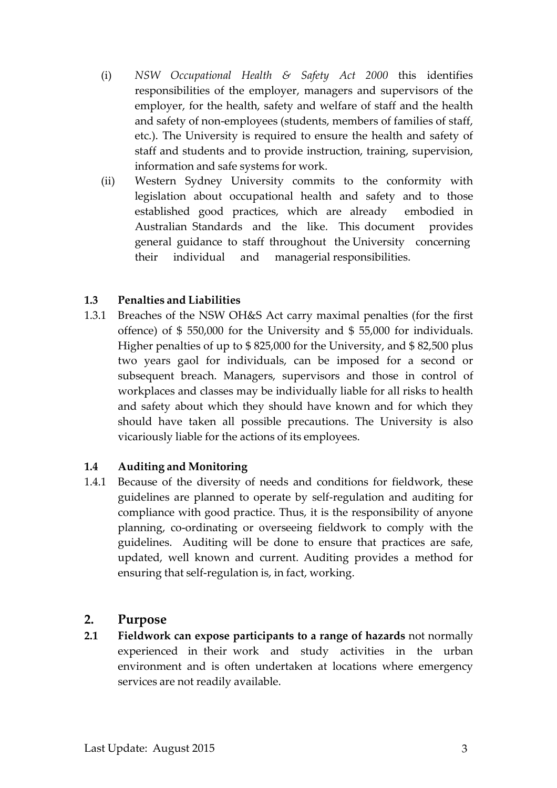- (i) *NSW Occupational Health & Safety Act 2000* this identifies responsibilities of the employer, managers and supervisors of the employer, for the health, safety and welfare of staff and the health and safety of non-employees (students, members of families of staff, etc.). The University is required to ensure the health and safety of staff and students and to provide instruction, training, supervision, information and safe systems for work.
- (ii) Western Sydney University commits to the conformity with legislation about occupational health and safety and to those established good practices, which are already embodied in Australian Standards and the like. This document provides general guidance to staff throughout the University concerning their individual and managerial responsibilities.

### **1.3 Penalties and Liabilities**

1.3.1 Breaches of the NSW OH&S Act carry maximal penalties (for the first offence) of \$ 550,000 for the University and \$ 55,000 for individuals. Higher penalties of up to \$ 825,000 for the University, and \$ 82,500 plus two years gaol for individuals, can be imposed for a second or subsequent breach. Managers, supervisors and those in control of workplaces and classes may be individually liable for all risks to health and safety about which they should have known and for which they should have taken all possible precautions. The University is also vicariously liable for the actions of its employees.

### **1.4 Auditing and Monitoring**

1.4.1 Because of the diversity of needs and conditions for fieldwork, these guidelines are planned to operate by self-regulation and auditing for compliance with good practice. Thus, it is the responsibility of anyone planning, co-ordinating or overseeing fieldwork to comply with the guidelines. Auditing will be done to ensure that practices are safe, updated, well known and current. Auditing provides a method for ensuring that self-regulation is, in fact, working.

## **2. Purpose**

**2.1 Fieldwork can expose participants to a range of hazards** not normally experienced in their work and study activities in the urban environment and is often undertaken at locations where emergency services are not readily available.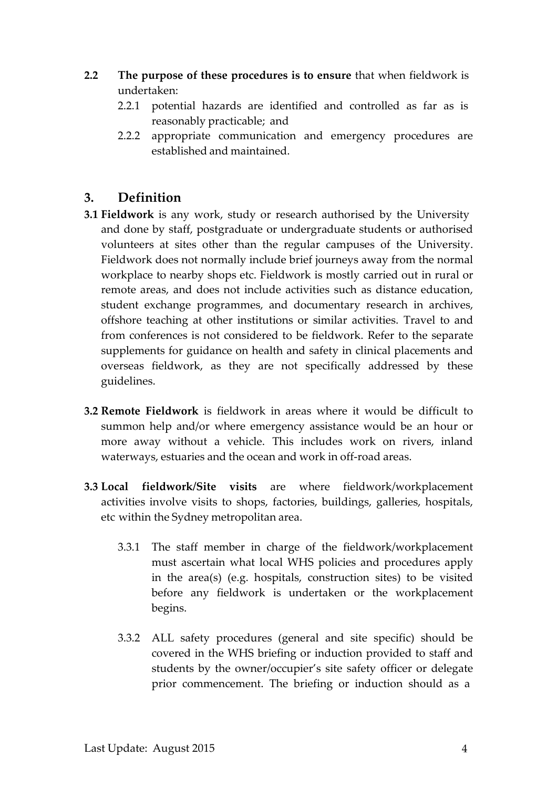- **2.2 The purpose of these procedures is to ensure** that when fieldwork is undertaken:
	- 2.2.1 potential hazards are identified and controlled as far as is reasonably practicable; and
	- 2.2.2 appropriate communication and emergency procedures are established and maintained.

## **3. Definition**

- **3.1 Fieldwork** is any work, study or research authorised by the University and done by staff, postgraduate or undergraduate students or authorised volunteers at sites other than the regular campuses of the University. Fieldwork does not normally include brief journeys away from the normal workplace to nearby shops etc. Fieldwork is mostly carried out in rural or remote areas, and does not include activities such as distance education, student exchange programmes, and documentary research in archives, offshore teaching at other institutions or similar activities. Travel to and from conferences is not considered to be fieldwork. Refer to the separate supplements for guidance on health and safety in clinical placements and overseas fieldwork, as they are not specifically addressed by these guidelines.
- **3.2 Remote Fieldwork** is fieldwork in areas where it would be difficult to summon help and/or where emergency assistance would be an hour or more away without a vehicle. This includes work on rivers, inland waterways, estuaries and the ocean and work in off-road areas.
- **3.3 Local fieldwork/Site visits** are where fieldwork/workplacement activities involve visits to shops, factories, buildings, galleries, hospitals, etc within the Sydney metropolitan area.
	- 3.3.1 The staff member in charge of the fieldwork/workplacement must ascertain what local WHS policies and procedures apply in the area(s) (e.g. hospitals, construction sites) to be visited before any fieldwork is undertaken or the workplacement begins.
	- 3.3.2 ALL safety procedures (general and site specific) should be covered in the WHS briefing or induction provided to staff and students by the owner/occupier's site safety officer or delegate prior commencement. The briefing or induction should as a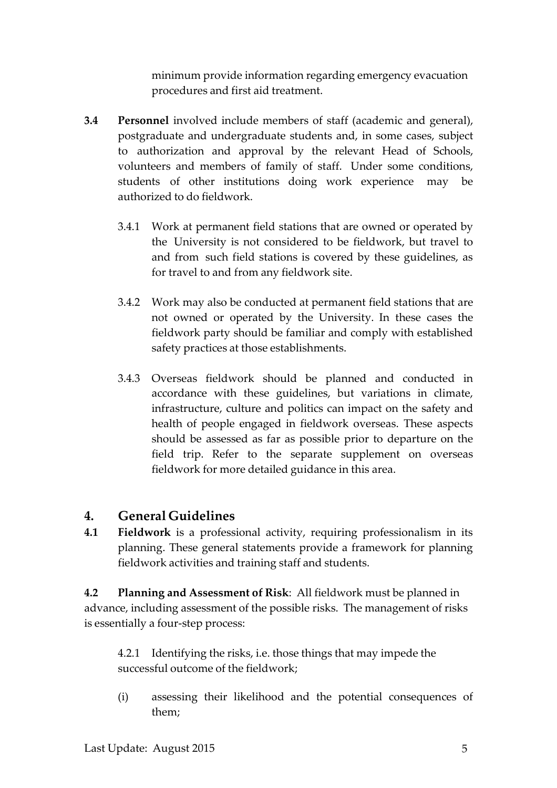minimum provide information regarding emergency evacuation procedures and first aid treatment.

- **3.4 Personnel** involved include members of staff (academic and general), postgraduate and undergraduate students and, in some cases, subject to authorization and approval by the relevant Head of Schools, volunteers and members of family of staff. Under some conditions, students of other institutions doing work experience may be authorized to do fieldwork.
	- 3.4.1 Work at permanent field stations that are owned or operated by the University is not considered to be fieldwork, but travel to and from such field stations is covered by these guidelines, as for travel to and from any fieldwork site.
	- 3.4.2 Work may also be conducted at permanent field stations that are not owned or operated by the University. In these cases the fieldwork party should be familiar and comply with established safety practices at those establishments.
	- 3.4.3 Overseas fieldwork should be planned and conducted in accordance with these guidelines, but variations in climate, infrastructure, culture and politics can impact on the safety and health of people engaged in fieldwork overseas. These aspects should be assessed as far as possible prior to departure on the field trip. Refer to the separate supplement on overseas fieldwork for more detailed guidance in this area.

# **4. General Guidelines**

**4.1 Fieldwork** is a professional activity, requiring professionalism in its planning. These general statements provide a framework for planning fieldwork activities and training staff and students.

**4.2 Planning and Assessment of Risk**: All fieldwork must be planned in advance, including assessment of the possible risks. The management of risks is essentially a four-step process:

4.2.1 Identifying the risks, i.e. those things that may impede the successful outcome of the fieldwork;

(i) assessing their likelihood and the potential consequences of them;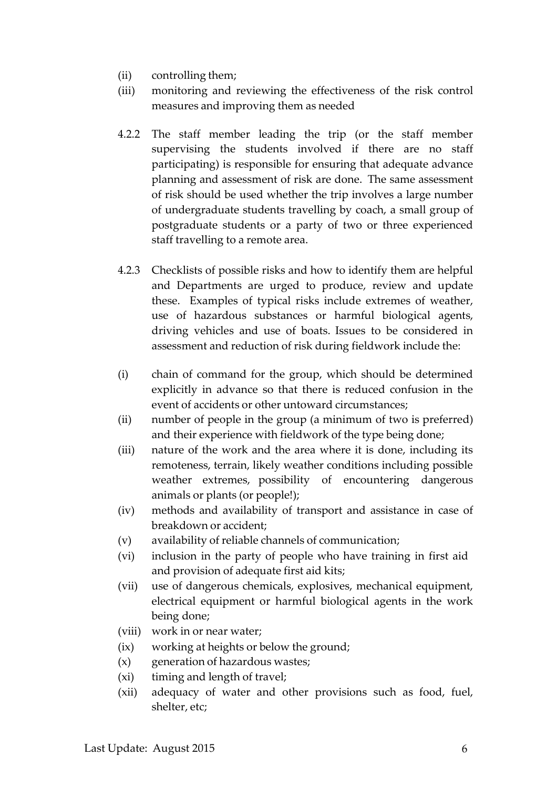- (ii) controlling them;
- (iii) monitoring and reviewing the effectiveness of the risk control measures and improving them as needed
- 4.2.2 The staff member leading the trip (or the staff member supervising the students involved if there are no staff participating) is responsible for ensuring that adequate advance planning and assessment of risk are done. The same assessment of risk should be used whether the trip involves a large number of undergraduate students travelling by coach, a small group of postgraduate students or a party of two or three experienced staff travelling to a remote area.
- 4.2.3 Checklists of possible risks and how to identify them are helpful and Departments are urged to produce, review and update these. Examples of typical risks include extremes of weather, use of hazardous substances or harmful biological agents, driving vehicles and use of boats. Issues to be considered in assessment and reduction of risk during fieldwork include the:
- (i) chain of command for the group, which should be determined explicitly in advance so that there is reduced confusion in the event of accidents or other untoward circumstances;
- (ii) number of people in the group (a minimum of two is preferred) and their experience with fieldwork of the type being done;
- (iii) nature of the work and the area where it is done, including its remoteness, terrain, likely weather conditions including possible weather extremes, possibility of encountering dangerous animals or plants (or people!);
- (iv) methods and availability of transport and assistance in case of breakdown or accident;
- (v) availability ofreliable channels of communication;
- (vi) inclusion in the party of people who have training in first aid and provision of adequate first aid kits;
- (vii) use of dangerous chemicals, explosives, mechanical equipment, electrical equipment or harmful biological agents in the work being done;
- (viii) work in or near water;
- (ix) working at heights or below the ground;
- (x) generation of hazardous wastes;
- (xi) timing and length of travel;
- (xii) adequacy of water and other provisions such as food, fuel, shelter, etc;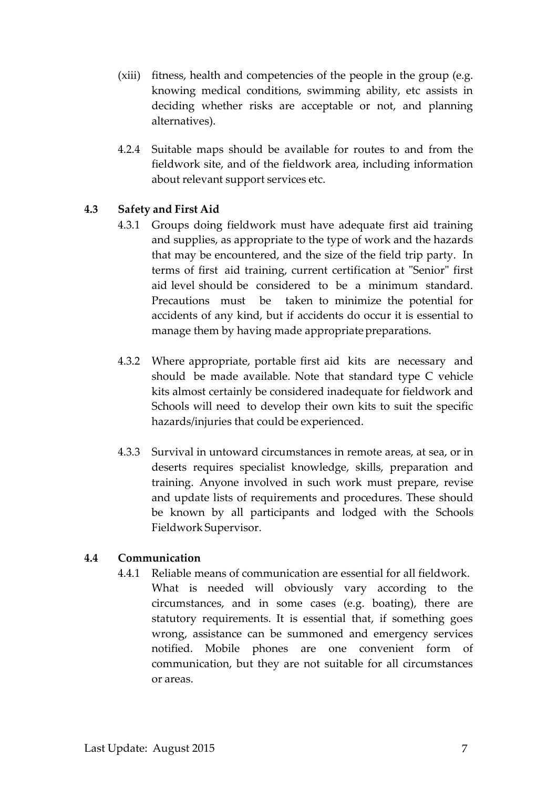- (xiii) fitness, health and competencies of the people in the group (e.g. knowing medical conditions, swimming ability, etc assists in deciding whether risks are acceptable or not, and planning alternatives).
- 4.2.4 Suitable maps should be available for routes to and from the fieldwork site, and of the fieldwork area, including information about relevant support services etc.

## **4.3 Safety and First Aid**

- 4.3.1 Groups doing fieldwork must have adequate first aid training and supplies, as appropriate to the type of work and the hazards that may be encountered, and the size of the field trip party. In terms of first aid training, current certification at "Senior" first aid level should be considered to be a minimum standard. Precautions must be taken to minimize the potential for accidents of any kind, but if accidents do occur it is essential to manage them by having made appropriate preparations.
- 4.3.2 Where appropriate, portable first aid kits are necessary and should be made available. Note that standard type C vehicle kits almost certainly be considered inadequate for fieldwork and Schools will need to develop their own kits to suit the specific hazards/injuries that could be experienced.
- 4.3.3 Survival in untoward circumstances in remote areas, at sea, or in deserts requires specialist knowledge, skills, preparation and training. Anyone involved in such work must prepare, revise and update lists of requirements and procedures. These should be known by all participants and lodged with the Schools Fieldwork Supervisor.

### **4.4 Communication**

4.4.1 Reliable means of communication are essential for all fieldwork. What is needed will obviously vary according to the circumstances, and in some cases (e.g. boating), there are statutory requirements. It is essential that, if something goes wrong, assistance can be summoned and emergency services notified. Mobile phones are one convenient form of communication, but they are not suitable for all circumstances or areas.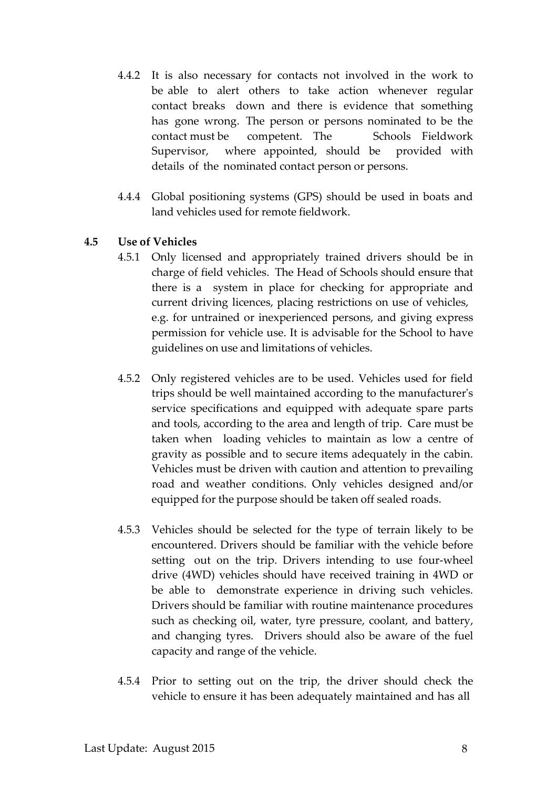- 4.4.2 It is also necessary for contacts not involved in the work to be able to alert others to take action whenever regular contact breaks down and there is evidence that something has gone wrong. The person or persons nominated to be the contact must be competent. The Schools Fieldwork Supervisor, where appointed, should be provided with details of the nominated contact person or persons.
- 4.4.4 Global positioning systems (GPS) should be used in boats and land vehicles used for remote fieldwork.

#### **4.5 Use of Vehicles**

- 4.5.1 Only licensed and appropriately trained drivers should be in charge of field vehicles. The Head of Schools should ensure that there is a system in place for checking for appropriate and current driving licences, placing restrictions on use of vehicles, e.g. for untrained or inexperienced persons, and giving express permission for vehicle use. It is advisable for the School to have guidelines on use and limitations of vehicles.
- 4.5.2 Only registered vehicles are to be used. Vehicles used for field trips should be well maintained according to the manufacturer's service specifications and equipped with adequate spare parts and tools, according to the area and length of trip. Care must be taken when loading vehicles to maintain as low a centre of gravity as possible and to secure items adequately in the cabin. Vehicles must be driven with caution and attention to prevailing road and weather conditions. Only vehicles designed and/or equipped for the purpose should be taken off sealed roads.
- 4.5.3 Vehicles should be selected for the type of terrain likely to be encountered. Drivers should be familiar with the vehicle before setting out on the trip. Drivers intending to use four-wheel drive (4WD) vehicles should have received training in 4WD or be able to demonstrate experience in driving such vehicles. Drivers should be familiar with routine maintenance procedures such as checking oil, water, tyre pressure, coolant, and battery, and changing tyres. Drivers should also be aware of the fuel capacity and range of the vehicle.
- 4.5.4 Prior to setting out on the trip, the driver should check the vehicle to ensure it has been adequately maintained and has all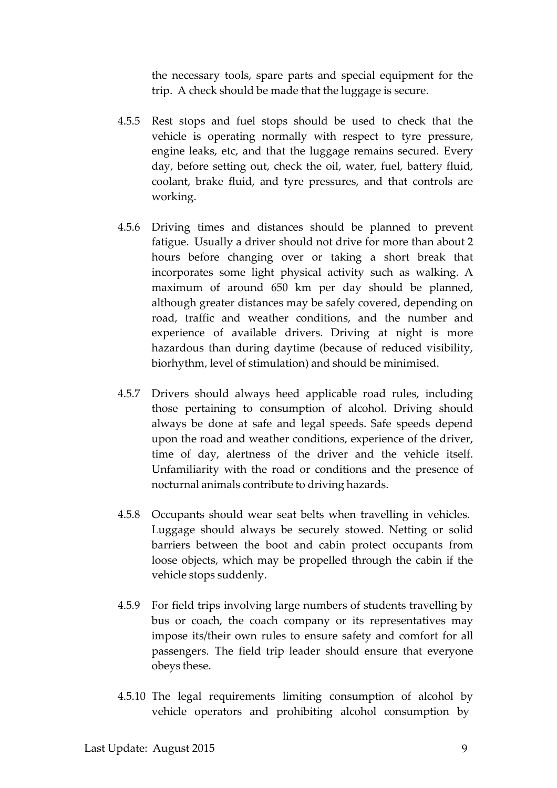the necessary tools, spare parts and special equipment for the trip. A check should be made that the luggage is secure.

- 4.5.5 Rest stops and fuel stops should be used to check that the vehicle is operating normally with respect to tyre pressure, engine leaks, etc, and that the luggage remains secured. Every day, before setting out, check the oil, water, fuel, battery fluid, coolant, brake fluid, and tyre pressures, and that controls are working.
- 4.5.6 Driving times and distances should be planned to prevent fatigue. Usually a driver should not drive for more than about 2 hours before changing over or taking a short break that incorporates some light physical activity such as walking. A maximum of around 650 km per day should be planned, although greater distances may be safely covered, depending on road, traffic and weather conditions, and the number and experience of available drivers. Driving at night is more hazardous than during daytime (because of reduced visibility, biorhythm, level of stimulation) and should be minimised.
- 4.5.7 Drivers should always heed applicable road rules, including those pertaining to consumption of alcohol. Driving should always be done at safe and legal speeds. Safe speeds depend upon the road and weather conditions, experience of the driver, time of day, alertness of the driver and the vehicle itself. Unfamiliarity with the road or conditions and the presence of nocturnal animals contribute to driving hazards.
- 4.5.8 Occupants should wear seat belts when travelling in vehicles. Luggage should always be securely stowed. Netting or solid barriers between the boot and cabin protect occupants from loose objects, which may be propelled through the cabin if the vehicle stops suddenly.
- 4.5.9 For field trips involving large numbers of students travelling by bus or coach, the coach company or its representatives may impose its/their own rules to ensure safety and comfort for all passengers. The field trip leader should ensure that everyone obeys these.
- 4.5.10 The legal requirements limiting consumption of alcohol by vehicle operators and prohibiting alcohol consumption by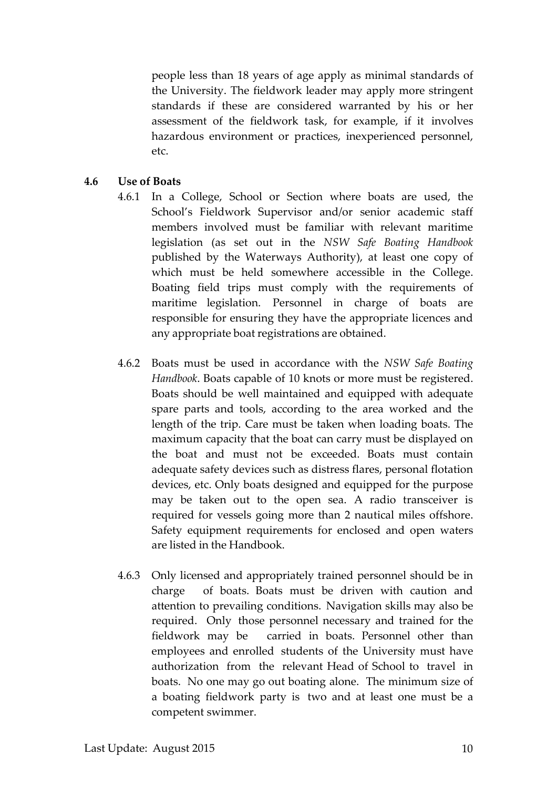people less than 18 years of age apply as minimal standards of the University. The fieldwork leader may apply more stringent standards if these are considered warranted by his or her assessment of the fieldwork task, for example, if it involves hazardous environment or practices, inexperienced personnel, etc.

#### **4.6 Use of Boats**

- 4.6.1 In a College, School or Section where boats are used, the School's Fieldwork Supervisor and/or senior academic staff members involved must be familiar with relevant maritime legislation (as set out in the *NSW Safe Boating Handbook* published by the Waterways Authority), at least one copy of which must be held somewhere accessible in the College. Boating field trips must comply with the requirements of maritime legislation. Personnel in charge of boats are responsible for ensuring they have the appropriate licences and any appropriate boat registrations are obtained.
- 4.6.2 Boats must be used in accordance with the *NSW Safe Boating Handbook*. Boats capable of 10 knots or more must be registered. Boats should be well maintained and equipped with adequate spare parts and tools, according to the area worked and the length of the trip. Care must be taken when loading boats. The maximum capacity that the boat can carry must be displayed on the boat and must not be exceeded. Boats must contain adequate safety devices such as distress flares, personal flotation devices, etc. Only boats designed and equipped for the purpose may be taken out to the open sea. A radio transceiver is required for vessels going more than 2 nautical miles offshore. Safety equipment requirements for enclosed and open waters are listed in the Handbook.
- 4.6.3 Only licensed and appropriately trained personnel should be in charge of boats. Boats must be driven with caution and attention to prevailing conditions. Navigation skills may also be required. Only those personnel necessary and trained for the fieldwork may be carried in boats. Personnel other than employees and enrolled students of the University must have authorization from the relevant Head of School to travel in boats. No one may go out boating alone. The minimum size of a boating fieldwork party is two and at least one must be a competent swimmer.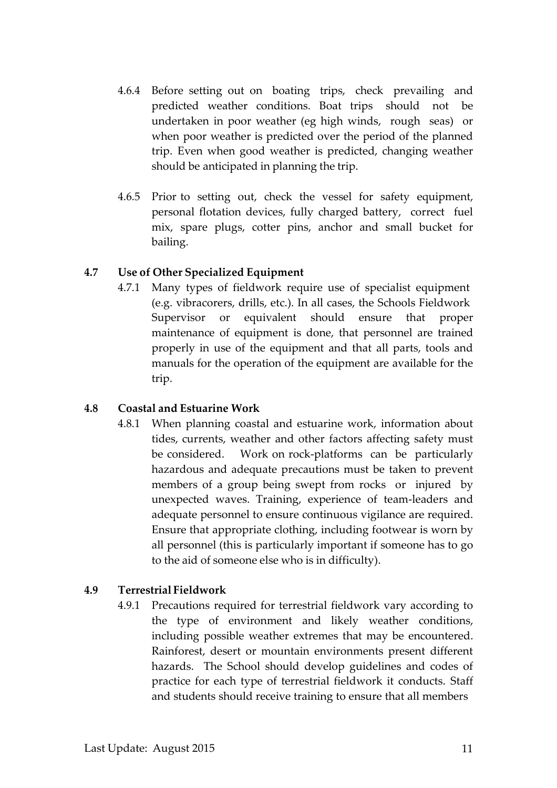- 4.6.4 Before setting out on boating trips, check prevailing and predicted weather conditions. Boat trips should not be undertaken in poor weather (eg high winds, rough seas) or when poor weather is predicted over the period of the planned trip. Even when good weather is predicted, changing weather should be anticipated in planning the trip.
- 4.6.5 Prior to setting out, check the vessel for safety equipment, personal flotation devices, fully charged battery, correct fuel mix, spare plugs, cotter pins, anchor and small bucket for bailing.

#### **4.7 Use of Other Specialized Equipment**

4.7.1 Many types of fieldwork require use of specialist equipment (e.g. vibracorers, drills, etc.). In all cases, the Schools Fieldwork Supervisor or equivalent should ensure that proper maintenance of equipment is done, that personnel are trained properly in use of the equipment and that all parts, tools and manuals for the operation of the equipment are available for the trip.

#### **4.8 Coastal and Estuarine Work**

4.8.1 When planning coastal and estuarine work, information about tides, currents, weather and other factors affecting safety must be considered. Work on rock-platforms can be particularly hazardous and adequate precautions must be taken to prevent members of a group being swept from rocks or injured by unexpected waves. Training, experience of team-leaders and adequate personnel to ensure continuous vigilance are required. Ensure that appropriate clothing, including footwear is worn by all personnel (this is particularly important if someone has to go to the aid of someone else who is in difficulty).

### **4.9 Terrestrial Fieldwork**

4.9.1 Precautions required for terrestrial fieldwork vary according to the type of environment and likely weather conditions, including possible weather extremes that may be encountered. Rainforest, desert or mountain environments present different hazards. The School should develop guidelines and codes of practice for each type of terrestrial fieldwork it conducts. Staff and students should receive training to ensure that all members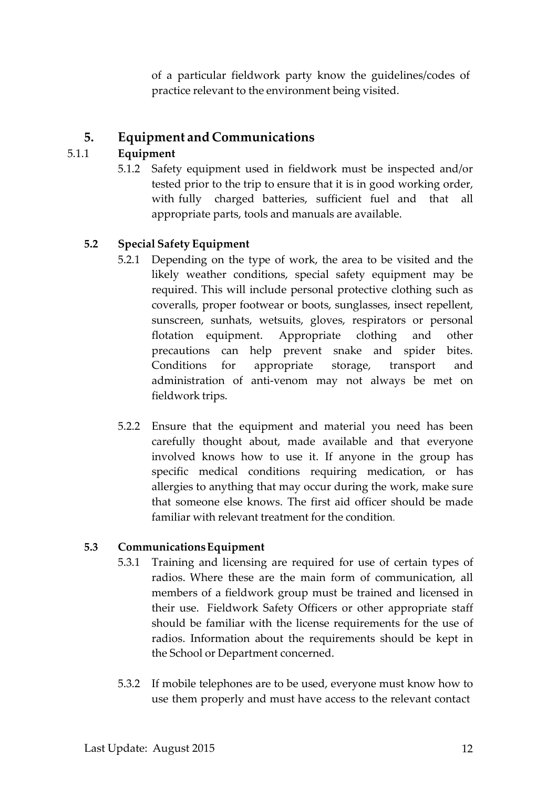of a particular fieldwork party know the guidelines/codes of practice relevant to the environment being visited.

## **5. Equipment and Communications**

## 5.1.1 **Equipment**

5.1.2 Safety equipment used in fieldwork must be inspected and/or tested prior to the trip to ensure that it is in good working order, with fully charged batteries, sufficient fuel and that all appropriate parts, tools and manuals are available.

## **5.2 Special Safety Equipment**

- 5.2.1 Depending on the type of work, the area to be visited and the likely weather conditions, special safety equipment may be required. This will include personal protective clothing such as coveralls, proper footwear or boots, sunglasses, insect repellent, sunscreen, sunhats, wetsuits, gloves, respirators or personal flotation equipment. Appropriate clothing and other precautions can help prevent snake and spider bites. Conditions for appropriate storage, transport and administration of anti-venom may not always be met on fieldwork trips.
- 5.2.2 Ensure that the equipment and material you need has been carefully thought about, made available and that everyone involved knows how to use it. If anyone in the group has specific medical conditions requiring medication, or has allergies to anything that may occur during the work, make sure that someone else knows. The first aid officer should be made familiar with relevant treatment for the condition.

### **5.3 CommunicationsEquipment**

- 5.3.1 Training and licensing are required for use of certain types of radios. Where these are the main form of communication, all members of a fieldwork group must be trained and licensed in their use. Fieldwork Safety Officers or other appropriate staff should be familiar with the license requirements for the use of radios. Information about the requirements should be kept in the School or Department concerned.
- 5.3.2 If mobile telephones are to be used, everyone must know how to use them properly and must have access to the relevant contact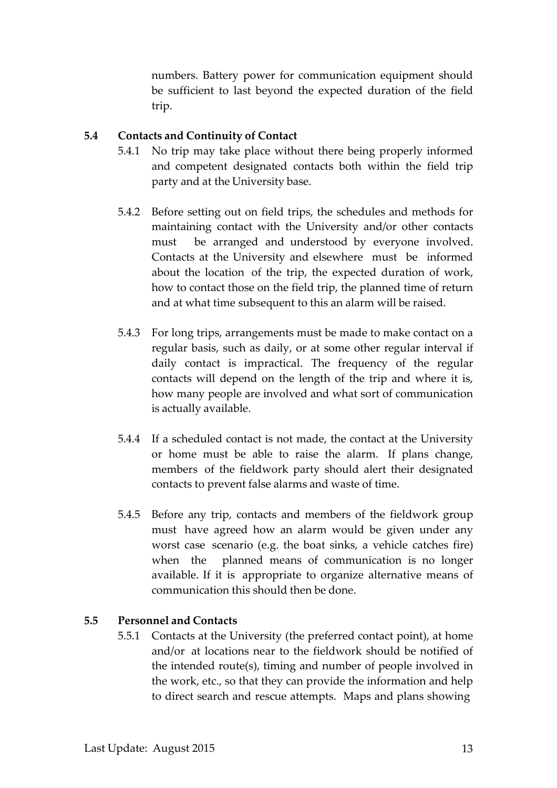numbers. Battery power for communication equipment should be sufficient to last beyond the expected duration of the field trip.

#### **5.4 Contacts and Continuity of Contact**

- 5.4.1 No trip may take place without there being properly informed and competent designated contacts both within the field trip party and at the University base.
- 5.4.2 Before setting out on field trips, the schedules and methods for maintaining contact with the University and/or other contacts must be arranged and understood by everyone involved. Contacts at the University and elsewhere must be informed about the location of the trip, the expected duration of work, how to contact those on the field trip, the planned time of return and at what time subsequent to this an alarm will be raised.
- 5.4.3 For long trips, arrangements must be made to make contact on a regular basis, such as daily, or at some other regular interval if daily contact is impractical. The frequency of the regular contacts will depend on the length of the trip and where it is, how many people are involved and what sort of communication is actually available.
- 5.4.4 If a scheduled contact is not made, the contact at the University or home must be able to raise the alarm. If plans change, members of the fieldwork party should alert their designated contacts to prevent false alarms and waste of time.
- 5.4.5 Before any trip, contacts and members of the fieldwork group must have agreed how an alarm would be given under any worst case scenario (e.g. the boat sinks, a vehicle catches fire) when the planned means of communication is no longer available. If it is appropriate to organize alternative means of communication this should then be done.

### **5.5 Personnel and Contacts**

5.5.1 Contacts at the University (the preferred contact point), at home and/or at locations near to the fieldwork should be notified of the intended route(s), timing and number of people involved in the work, etc., so that they can provide the information and help to direct search and rescue attempts. Maps and plans showing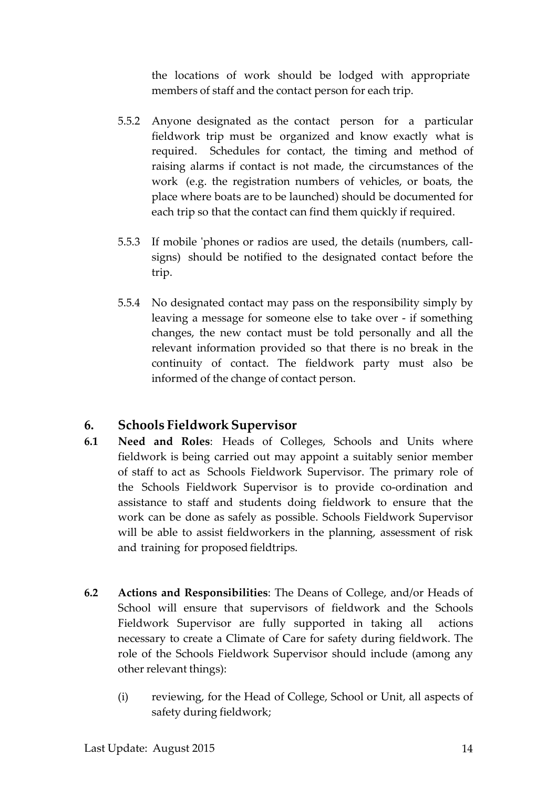the locations of work should be lodged with appropriate members of staff and the contact person for each trip.

- 5.5.2 Anyone designated as the contact person for a particular fieldwork trip must be organized and know exactly what is required. Schedules for contact, the timing and method of raising alarms if contact is not made, the circumstances of the work (e.g. the registration numbers of vehicles, or boats, the place where boats are to be launched) should be documented for each trip so that the contact can find them quickly if required.
- 5.5.3 If mobile 'phones or radios are used, the details (numbers, callsigns) should be notified to the designated contact before the trip.
- 5.5.4 No designated contact may pass on the responsibility simply by leaving a message for someone else to take over - if something changes, the new contact must be told personally and all the relevant information provided so that there is no break in the continuity of contact. The fieldwork party must also be informed of the change of contact person.

# **6. Schools Fieldwork Supervisor**

- **6.1 Need and Roles**: Heads of Colleges, Schools and Units where fieldwork is being carried out may appoint a suitably senior member of staff to act as Schools Fieldwork Supervisor. The primary role of the Schools Fieldwork Supervisor is to provide co-ordination and assistance to staff and students doing fieldwork to ensure that the work can be done as safely as possible. Schools Fieldwork Supervisor will be able to assist fieldworkers in the planning, assessment of risk and training for proposed fieldtrips.
- **6.2 Actions and Responsibilities**: The Deans of College, and/or Heads of School will ensure that supervisors of fieldwork and the Schools Fieldwork Supervisor are fully supported in taking all actions necessary to create a Climate of Care for safety during fieldwork. The role of the Schools Fieldwork Supervisor should include (among any other relevant things):
	- (i) reviewing, for the Head of College, School or Unit, all aspects of safety during fieldwork;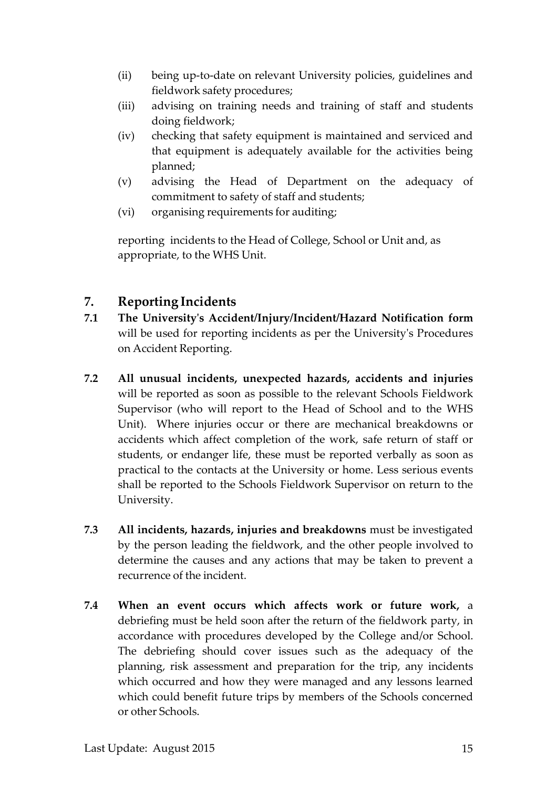- (ii) being up-to-date on relevant University policies, guidelines and fieldwork safety procedures;
- (iii) advising on training needs and training of staff and students doing fieldwork;
- (iv) checking that safety equipment is maintained and serviced and that equipment is adequately available for the activities being planned;
- (v) advising the Head of Department on the adequacy of commitment to safety of staff and students;
- (vi) organising requirements for auditing;

reporting incidents to the Head of College, School or Unit and, as appropriate, to the WHS Unit.

# **7. Reporting Incidents**

- **7.1 The University's Accident/Injury/Incident/Hazard Notification form** will be used for reporting incidents as per the University's Procedures on Accident Reporting.
- **7.2 All unusual incidents, unexpected hazards, accidents and injuries** will be reported as soon as possible to the relevant Schools Fieldwork Supervisor (who will report to the Head of School and to the WHS Unit). Where injuries occur or there are mechanical breakdowns or accidents which affect completion of the work, safe return of staff or students, or endanger life, these must be reported verbally as soon as practical to the contacts at the University or home. Less serious events shall be reported to the Schools Fieldwork Supervisor on return to the University.
- **7.3 All incidents, hazards, injuries and breakdowns** must be investigated by the person leading the fieldwork, and the other people involved to determine the causes and any actions that may be taken to prevent a recurrence of the incident.
- **7.4 When an event occurs which affects work or future work,** a debriefing must be held soon after the return of the fieldwork party, in accordance with procedures developed by the College and/or School. The debriefing should cover issues such as the adequacy of the planning, risk assessment and preparation for the trip, any incidents which occurred and how they were managed and any lessons learned which could benefit future trips by members of the Schools concerned or other Schools.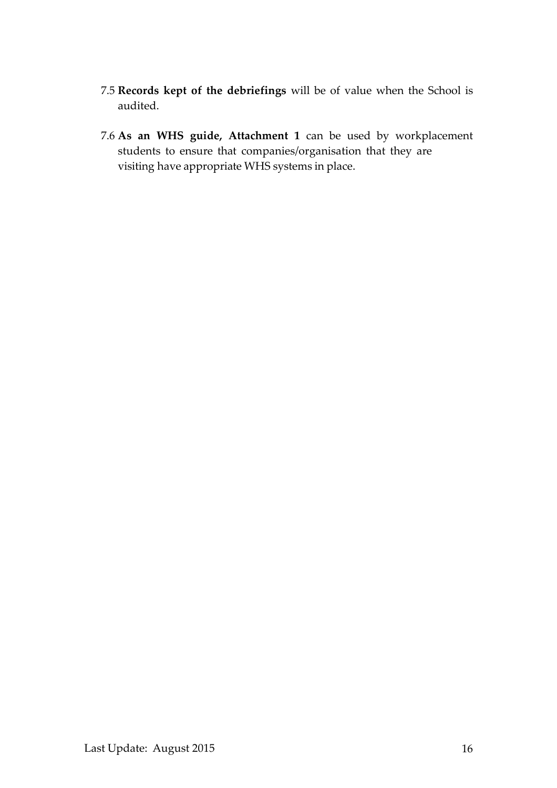- 7.5 **Records kept of the debriefings** will be of value when the School is audited.
- 7.6 **As an WHS guide, Attachment 1** can be used by workplacement students to ensure that companies/organisation that they are visiting have appropriate WHS systems in place.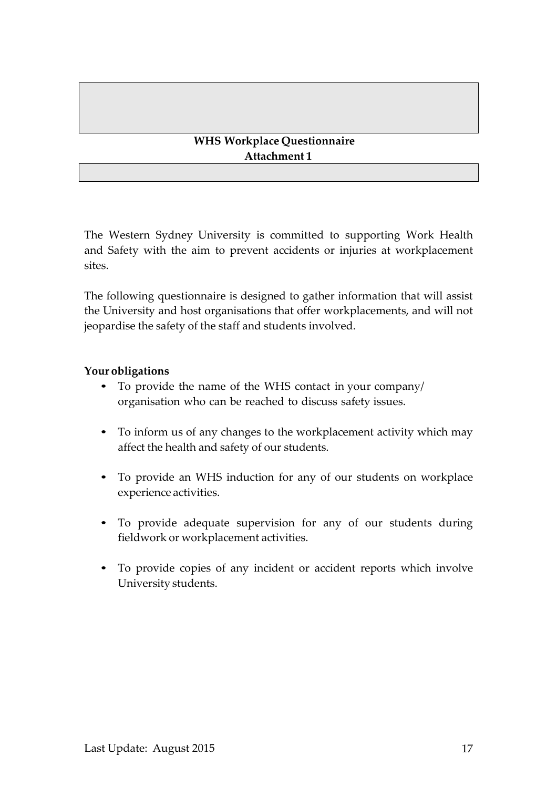## **WHS Workplace Questionnaire Attachment 1**

The Western Sydney University is committed to supporting Work Health and Safety with the aim to prevent accidents or injuries at workplacement sites.

The following questionnaire is designed to gather information that will assist the University and host organisations that offer workplacements, and will not jeopardise the safety of the staff and students involved.

### **Your obligations**

- To provide the name of the WHS contact in your company/ organisation who can be reached to discuss safety issues.
- To inform us of any changes to the workplacement activity which may affect the health and safety of our students.
- To provide an WHS induction for any of our students on workplace experience activities.
- To provide adequate supervision for any of our students during fieldwork or workplacement activities.
- To provide copies of any incident or accident reports which involve University students.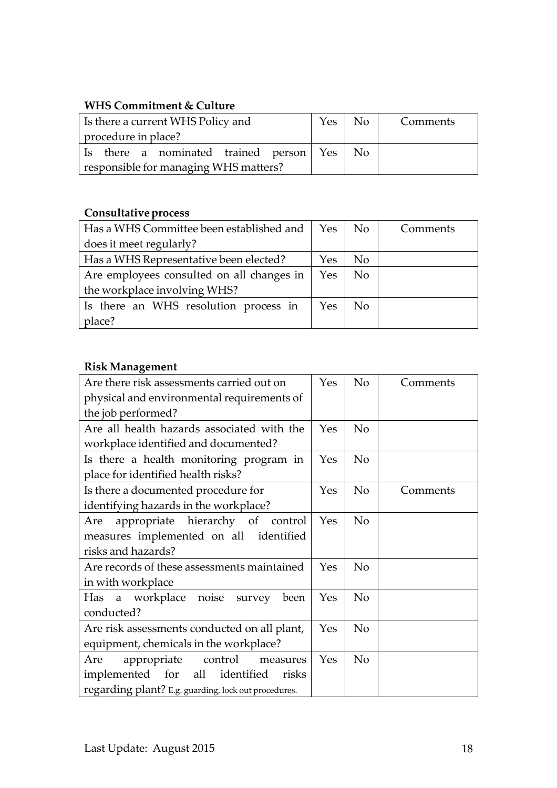# **WHS Commitment & Culture**

| Is there a current WHS Policy and          | Yes No | Comments |
|--------------------------------------------|--------|----------|
| procedure in place?                        |        |          |
| Is there a nominated trained person Yes No |        |          |
| responsible for managing WHS matters?      |        |          |

# **Consultativeprocess**

| Has a WHS Committee been established and  | Yes | No             | Comments |
|-------------------------------------------|-----|----------------|----------|
| does it meet regularly?                   |     |                |          |
| Has a WHS Representative been elected?    | Yes | No.            |          |
| Are employees consulted on all changes in |     | <b>No</b>      |          |
| the workplace involving WHS?              |     |                |          |
| Is there an WHS resolution process in     | Yes | N <sub>o</sub> |          |
| place?                                    |     |                |          |

## **Risk Management**

| Are there risk assessments carried out on            | Yes | No             | Comments |
|------------------------------------------------------|-----|----------------|----------|
| physical and environmental requirements of           |     |                |          |
| the job performed?                                   |     |                |          |
|                                                      |     |                |          |
| Are all health hazards associated with the           | Yes | No             |          |
| workplace identified and documented?                 |     |                |          |
| Is there a health monitoring program in              | Yes | N <sub>o</sub> |          |
| place for identified health risks?                   |     |                |          |
| Is there a documented procedure for                  | Yes | N <sub>o</sub> | Comments |
| identifying hazards in the workplace?                |     |                |          |
| appropriate hierarchy of control<br>Are              | Yes | N <sub>o</sub> |          |
| measures implemented on all identified               |     |                |          |
| risks and hazards?                                   |     |                |          |
| Are records of these assessments maintained          | Yes | No             |          |
| in with workplace                                    |     |                |          |
| Has a workplace noise survey<br>been                 | Yes | N <sub>o</sub> |          |
| conducted?                                           |     |                |          |
| Are risk assessments conducted on all plant,         |     | N <sub>o</sub> |          |
| equipment, chemicals in the workplace?               |     |                |          |
| appropriate control<br>Are<br>measures               | Yes | N <sub>o</sub> |          |
| implemented for all identified<br>risks              |     |                |          |
| regarding plant? E.g. guarding, lock out procedures. |     |                |          |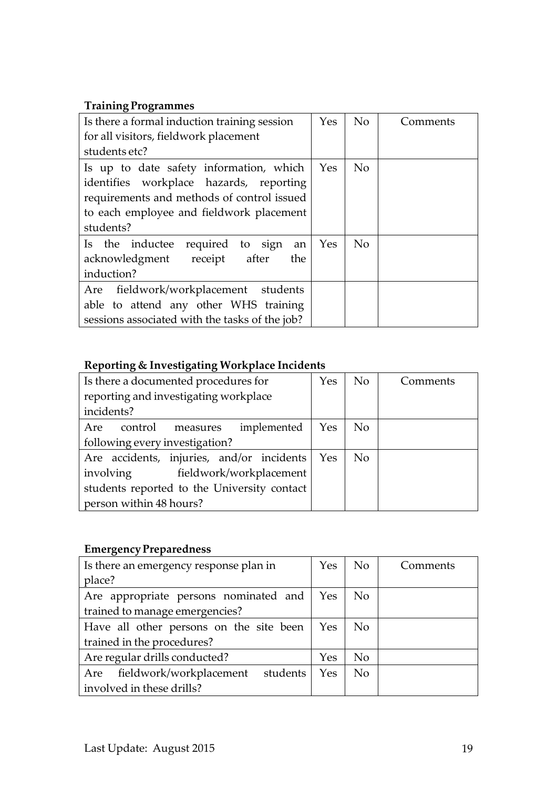# **Training Programmes**

| Is there a formal induction training session   | Yes | No             | Comments |
|------------------------------------------------|-----|----------------|----------|
| for all visitors, fieldwork placement          |     |                |          |
| students etc?                                  |     |                |          |
| Is up to date safety information, which        | Yes | N <sub>0</sub> |          |
| identifies workplace hazards, reporting        |     |                |          |
| requirements and methods of control issued     |     |                |          |
| to each employee and fieldwork placement       |     |                |          |
| students?                                      |     |                |          |
| required to sign<br>Is the inductee<br>an      | Yes | N <sub>0</sub> |          |
| acknowledgment receipt after<br>the            |     |                |          |
| induction?                                     |     |                |          |
| fieldwork/workplacement students<br>Are        |     |                |          |
| able to attend any other WHS training          |     |                |          |
| sessions associated with the tasks of the job? |     |                |          |

# **Reporting & Investigating Workplace Incidents**

| Is there a documented procedures for        | Yes | No.            | Comments |
|---------------------------------------------|-----|----------------|----------|
| reporting and investigating workplace       |     |                |          |
| incidents?                                  |     |                |          |
| implemented<br>control<br>Are<br>measures   | Yes | N <sub>o</sub> |          |
| following every investigation?              |     |                |          |
| Are accidents, injuries, and/or incidents   | Yes | N <sub>o</sub> |          |
| involving<br>fieldwork/workplacement        |     |                |          |
| students reported to the University contact |     |                |          |
| person within 48 hours?                     |     |                |          |

# **Emergency Preparedness**

| Is there an emergency response plan in  | <b>Yes</b> | N <sub>o</sub> | Comments |
|-----------------------------------------|------------|----------------|----------|
| place?                                  |            |                |          |
| Are appropriate persons nominated and   | Yes        | N <sub>o</sub> |          |
| trained to manage emergencies?          |            |                |          |
| Have all other persons on the site been |            | N <sub>o</sub> |          |
| trained in the procedures?              |            |                |          |
| Are regular drills conducted?           | Yes        | N <sub>o</sub> |          |
| Are fieldwork/workplacement students    | Yes        | <b>No</b>      |          |
| involved in these drills?               |            |                |          |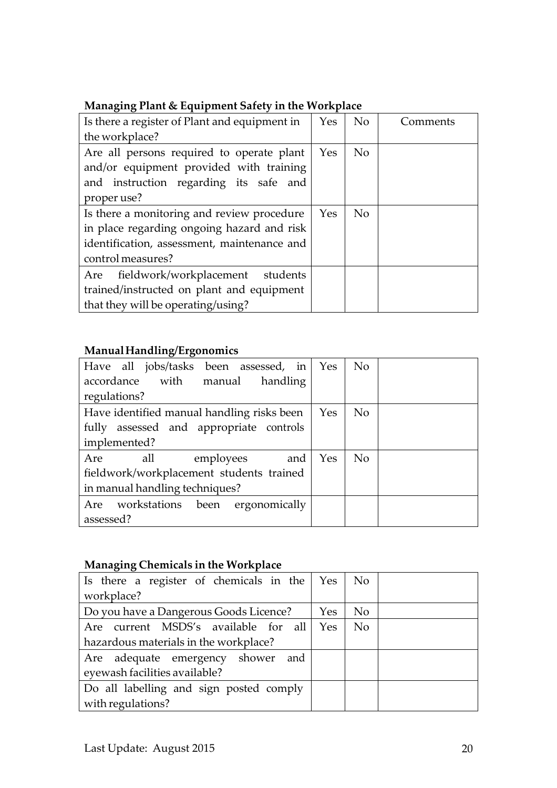|  |  | Managing Plant & Equipment Safety in the Workplace |
|--|--|----------------------------------------------------|
|  |  |                                                    |

| Is there a register of Plant and equipment in                                                                                                 | <b>Yes</b> | N <sub>o</sub> | Comments) |
|-----------------------------------------------------------------------------------------------------------------------------------------------|------------|----------------|-----------|
| the workplace?                                                                                                                                |            |                |           |
| Are all persons required to operate plant<br>and/or equipment provided with training<br>and instruction regarding its safe and<br>proper use? | Yes        | N <sub>o</sub> |           |
| Is there a monitoring and review procedure                                                                                                    | Yes        | N <sub>o</sub> |           |
| in place regarding ongoing hazard and risk                                                                                                    |            |                |           |
| identification, assessment, maintenance and                                                                                                   |            |                |           |
| control measures?                                                                                                                             |            |                |           |
| fieldwork/workplacement<br>students<br>Are                                                                                                    |            |                |           |
| trained/instructed on plant and equipment                                                                                                     |            |                |           |
| that they will be operating/using?                                                                                                            |            |                |           |

# **ManualHandling/Ergonomics**

| Have all jobs/tasks been assessed, in      | Yes | <b>No</b>      |
|--------------------------------------------|-----|----------------|
| accordance with manual<br>handling         |     |                |
| regulations?                               |     |                |
| Have identified manual handling risks been | Yes | <b>No</b>      |
| fully assessed and appropriate controls    |     |                |
| implemented?                               |     |                |
| all<br>Are<br>employees<br>and             | Yes | N <sub>0</sub> |
| fieldwork/workplacement students trained   |     |                |
| in manual handling techniques?             |     |                |
| Are workstations been ergonomically        |     |                |
| assessed?                                  |     |                |

# **Managing Chemicals in the Workplace**

| Is there a register of chemicals in the $\gamma$ Yes |            | No.            |
|------------------------------------------------------|------------|----------------|
| workplace?                                           |            |                |
| Do you have a Dangerous Goods Licence?               | <b>Yes</b> | No.            |
| current MSDS's available for all<br>Are              | Yes        | N <sub>o</sub> |
| hazardous materials in the workplace?                |            |                |
| Are adequate emergency shower and                    |            |                |
| eyewash facilities available?                        |            |                |
| Do all labelling and sign posted comply              |            |                |
| with regulations?                                    |            |                |